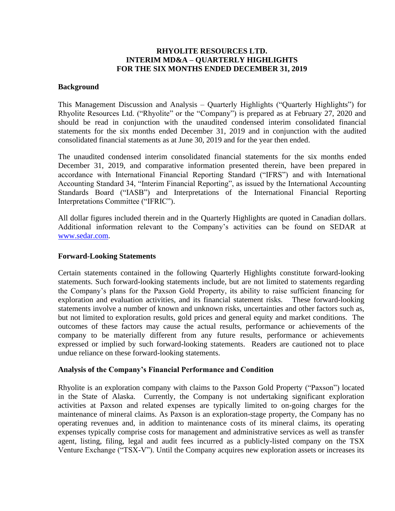# **RHYOLITE RESOURCES LTD. INTERIM MD&A – QUARTERLY HIGHLIGHTS FOR THE SIX MONTHS ENDED DECEMBER 31, 2019**

### **Background**

This Management Discussion and Analysis – Quarterly Highlights ("Quarterly Highlights") for Rhyolite Resources Ltd. ("Rhyolite" or the "Company") is prepared as at February 27, 2020 and should be read in conjunction with the unaudited condensed interim consolidated financial statements for the six months ended December 31, 2019 and in conjunction with the audited consolidated financial statements as at June 30, 2019 and for the year then ended.

The unaudited condensed interim consolidated financial statements for the six months ended December 31, 2019, and comparative information presented therein, have been prepared in accordance with International Financial Reporting Standard ("IFRS") and with International Accounting Standard 34, "Interim Financial Reporting", as issued by the International Accounting Standards Board ("IASB") and Interpretations of the International Financial Reporting Interpretations Committee ("IFRIC").

All dollar figures included therein and in the Quarterly Highlights are quoted in Canadian dollars. Additional information relevant to the Company's activities can be found on SEDAR at [www.sedar.com.](http://www.sedar.com/)

### **Forward-Looking Statements**

Certain statements contained in the following Quarterly Highlights constitute forward-looking statements. Such forward-looking statements include, but are not limited to statements regarding the Company's plans for the Paxson Gold Property, its ability to raise sufficient financing for exploration and evaluation activities, and its financial statement risks. These forward-looking statements involve a number of known and unknown risks, uncertainties and other factors such as, but not limited to exploration results, gold prices and general equity and market conditions. The outcomes of these factors may cause the actual results, performance or achievements of the company to be materially different from any future results, performance or achievements expressed or implied by such forward-looking statements. Readers are cautioned not to place undue reliance on these forward-looking statements.

## **Analysis of the Company's Financial Performance and Condition**

Rhyolite is an exploration company with claims to the Paxson Gold Property ("Paxson") located in the State of Alaska. Currently, the Company is not undertaking significant exploration activities at Paxson and related expenses are typically limited to on-going charges for the maintenance of mineral claims. As Paxson is an exploration-stage property, the Company has no operating revenues and, in addition to maintenance costs of its mineral claims, its operating expenses typically comprise costs for management and administrative services as well as transfer agent, listing, filing, legal and audit fees incurred as a publicly-listed company on the TSX Venture Exchange ("TSX-V"). Until the Company acquires new exploration assets or increases its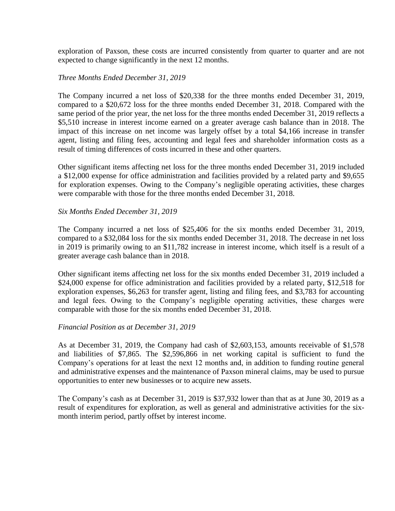exploration of Paxson, these costs are incurred consistently from quarter to quarter and are not expected to change significantly in the next 12 months.

## *Three Months Ended December 31, 2019*

The Company incurred a net loss of \$20,338 for the three months ended December 31, 2019, compared to a \$20,672 loss for the three months ended December 31, 2018. Compared with the same period of the prior year, the net loss for the three months ended December 31, 2019 reflects a \$5,510 increase in interest income earned on a greater average cash balance than in 2018. The impact of this increase on net income was largely offset by a total \$4,166 increase in transfer agent, listing and filing fees, accounting and legal fees and shareholder information costs as a result of timing differences of costs incurred in these and other quarters.

Other significant items affecting net loss for the three months ended December 31, 2019 included a \$12,000 expense for office administration and facilities provided by a related party and \$9,655 for exploration expenses. Owing to the Company's negligible operating activities, these charges were comparable with those for the three months ended December 31, 2018.

#### *Six Months Ended December 31, 2019*

The Company incurred a net loss of \$25,406 for the six months ended December 31, 2019, compared to a \$32,084 loss for the six months ended December 31, 2018. The decrease in net loss in 2019 is primarily owing to an \$11,782 increase in interest income, which itself is a result of a greater average cash balance than in 2018.

Other significant items affecting net loss for the six months ended December 31, 2019 included a \$24,000 expense for office administration and facilities provided by a related party, \$12,518 for exploration expenses, \$6,263 for transfer agent, listing and filing fees, and \$3,783 for accounting and legal fees. Owing to the Company's negligible operating activities, these charges were comparable with those for the six months ended December 31, 2018.

#### *Financial Position as at December 31, 2019*

As at December 31, 2019, the Company had cash of \$2,603,153, amounts receivable of \$1,578 and liabilities of \$7,865. The \$2,596,866 in net working capital is sufficient to fund the Company's operations for at least the next 12 months and, in addition to funding routine general and administrative expenses and the maintenance of Paxson mineral claims, may be used to pursue opportunities to enter new businesses or to acquire new assets.

The Company's cash as at December 31, 2019 is \$37,932 lower than that as at June 30, 2019 as a result of expenditures for exploration, as well as general and administrative activities for the sixmonth interim period, partly offset by interest income.